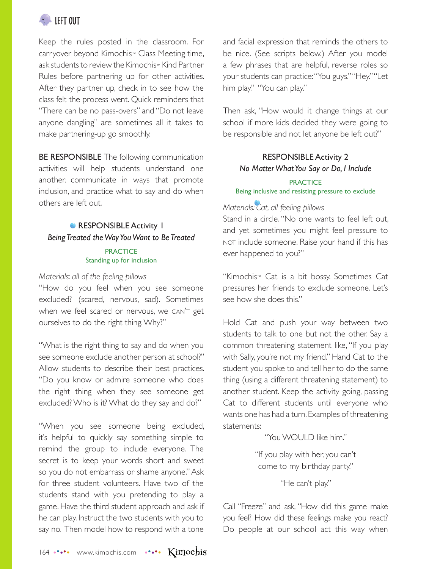

Keep the rules posted in the classroom. For carryover beyond Kimochis™ Class Meeting time, ask students to review the Kimochis™ Kind Partner Rules before partnering up for other activities. After they partner up, check in to see how the class felt the process went. Quick reminders that "There can be no pass-overs" and "Do not leave anyone dangling" are sometimes all it takes to make partnering-up go smoothly.

**BE RESPONSIBLE** The following communication activities will help students understand one another, communicate in ways that promote inclusion, and practice what to say and do when others are left out.

## **RESPONSIBLE Activity 1** *Being Treated the Way You Want to Be Treated*

#### **PRACTICE** Standing up for inclusion

#### *Materials: all of the feeling pillows*

"How do you feel when you see someone excluded? (scared, nervous, sad). Sometimes when we feel scared or nervous, we CAN'T get ourselves to do the right thing. Why?"

"What is the right thing to say and do when you see someone exclude another person at school?" Allow students to describe their best practices. "Do you know or admire someone who does the right thing when they see someone get excluded? Who is it? What do they say and do?"

"When you see someone being excluded, it's helpful to quickly say something simple to remind the group to include everyone. The secret is to keep your words short and sweet so you do not embarrass or shame anyone." Ask for three student volunteers. Have two of the students stand with you pretending to play a game. Have the third student approach and ask if he can play. Instruct the two students with you to say no. Then model how to respond with a tone

and facial expression that reminds the others to be nice. (See scripts below.) After you model a few phrases that are helpful, reverse roles so your students can practice: "You guys." "Hey." "Let him play." "You can play."

Then ask, "How would it change things at our school if more kids decided they were going to be responsible and not let anyone be left out?"

# RESPONSIBLE Activity 2 *No Matter What You Say or Do, I Include*

### **PRACTICE** Being inclusive and resisting pressure to exclude

### *Materials: Cat, all feeling pillows*

Stand in a circle. "No one wants to feel left out, and yet sometimes you might feel pressure to not include someone. Raise your hand if this has ever happened to you?"

"Kimochis™ Cat is a bit bossy. Sometimes Cat pressures her friends to exclude someone. Let's see how she does this."

Hold Cat and push your way between two students to talk to one but not the other. Say a common threatening statement like, "If you play with Sally, you're not my friend." Hand Cat to the student you spoke to and tell her to do the same thing (using a different threatening statement) to another student. Keep the activity going, passing Cat to different students until everyone who wants one has had a turn. Examples of threatening statements:

"You WOULD like him."

"If you play with her, you can't come to my birthday party."

"He can't play."

Call "Freeze" and ask, "How did this game make you feel? How did these feelings make you react? Do people at our school act this way when